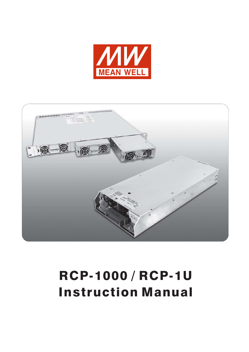



# RCP-1000 / RCP-1U Instruction Manual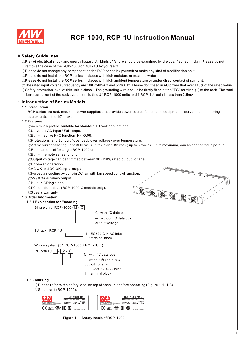

# **RCP-1000, RCP-1U Instruction Manual**

# **0.Safety Guidelines**

- ◎Risk of electrical shock and energy hazard. All kinds of failure should be examined by the qualified technician. Please do not remove the case of the RCP-1000 or RCP-1U by yourself!
- ◎Please do not change any component on the RCP series by yourself or make any kind of modification on it.
- ◎Please do not install the RCP series in places with high moisture or near the water.
- ◎Please do not install the RCP series in places with high ambient temperature or under direct contact of sunlight.
- $\odot$ The rated input voltage / frequency are 100~240VAC and 50/60 Hz. Please don't feed in AC power that over  $\pm$ 10% of the rated value. ©Safety protection level of this unit is class I. The grounding wire should be firmly fixed at the "FG" terminal  $(\frac{1}{2})$  of the rack. The total
- leakage current of the rack system (including 3 \* RCP-1000 units and 1 RCP-1U rack) is less than 3.5mA.

# **1.Introduction of Series Models**

# **1.1 Introduction**

RCP series are rack-mounted power supplies that provide power source for telecom equipments, servers, or monitoring equipments in the 19" racks.

#### **1.2 Features**

- ◎44 mm low profile, suitable for standard 1U rack applications.
- ◎Universal AC input / Full range.
- ◎Built-in active PFC function, PF>0.96.
- ◎Protections: short circuit / overload / over voltage / over temperature.
- ◎Active current sharing up to 3000W (3 units) in one 19" rack ; up to 3 racks (8units maximum) can be connected in parallel.

ICOIC

◎Remote control for single RCP-1000 unit.

◎Built-in remote sense function.

- ◎Output voltage can be trimmed between 90~110% rated output voltage.
- ◎Hot-swap operation.
- ◎AC OK and DC OK signal output.
- ◎Forced air cooling by built-in DC fan with fan speed control function.
- ◎5V / 0.3A auxiliary output.
- ◎Built-in ORing diode.
- $[0]^2$ C serial data bus (RCP-1000-C models only).
- ◎3 years warranty.

# **1.3 Order Information**

#### **1.3.1 Explanation for Encoding**

Single unit : RCP-1000- 12 C-



1U rack: RCP-1U I

I : IEC320-C14 AC inlet T : terminal block

Whole system  $(3 * RCP-1000 + RCP-1U<sub>Q</sub>)$ :



T : terminal block

# **1.3.2 Marking**

◎Please refer to the safety label on top of each unit before operating (Figure 1-1~1-3).

◎Single unit (RCP-1000):



Figure 1-1: Safety labels of RCP-1000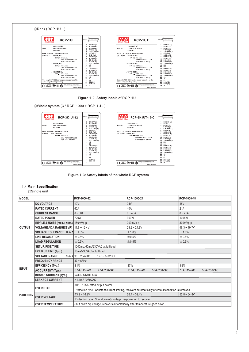

|                   | $\cdots$ == $\cdots$ $\cdots$ $\cdots$ $\cdots$ $\cdots$ $\cdots$ $\cdots$ $\cdots$ $\cdots$ $\cdots$ |                                                                                                      |                             | ,,,,,, <b>,</b> ,,        |  |  |  |  |
|-------------------|-------------------------------------------------------------------------------------------------------|------------------------------------------------------------------------------------------------------|-----------------------------|---------------------------|--|--|--|--|
| <b>OUTPUT</b>     | VOLTAGE ADJ. RANGE(SVR)   11.6 ~ 12.4V                                                                |                                                                                                      | $23.2 - 24.8V$              | $46.3 - 49.7V$            |  |  |  |  |
|                   | <b>VOLTAGE TOLERANCE</b> Note.3 $\pm$ 1.0%                                                            |                                                                                                      | ±1.0%                       | ±1.0%                     |  |  |  |  |
|                   | <b>LINE REGULATION</b>                                                                                | $\pm 0.5\%$                                                                                          | $\pm$ 0.5%                  | ±0.5%                     |  |  |  |  |
|                   | <b>LOAD REGULATION</b>                                                                                | $\pm 0.5\%$                                                                                          | ±0.5%                       | ±0.5%                     |  |  |  |  |
|                   | <b>SETUP, RISE TIME</b>                                                                               | 1000ms, 60ms/230VAC at full load                                                                     |                             |                           |  |  |  |  |
|                   | <b>HOLD UP TIME (Typ.)</b>                                                                            | 16ms/230VAC at full load                                                                             |                             |                           |  |  |  |  |
|                   | <b>VOLTAGE RANGE</b>                                                                                  | $127 - 370$ VDC<br>Note.4 $90 \sim 264$ VAC                                                          |                             |                           |  |  |  |  |
|                   | <b>FREQUENCY RANGE</b>                                                                                | $47 - 63$ Hz                                                                                         |                             |                           |  |  |  |  |
|                   | <b>EFFICIENCY (Typ.)</b>                                                                              | 81%                                                                                                  | 87%                         | 89%                       |  |  |  |  |
| <b>INPUT</b>      | <b>AC CURRENT (Typ.)</b>                                                                              | 8.5A/115VAC<br>4.5A/230VAC                                                                           | 10.5A/115VAC<br>5.5A/230VAC | 11A/115VAC<br>5.5A/230VAC |  |  |  |  |
|                   | <b>INRUSH CURRENT (Typ.)</b>                                                                          | <b>COLD START 50A</b>                                                                                |                             |                           |  |  |  |  |
|                   | <b>LEAKAGE CURRENT</b>                                                                                | <1.1mA/230VAC                                                                                        |                             |                           |  |  |  |  |
|                   |                                                                                                       | 105 $\sim$ 125% rated output power                                                                   |                             |                           |  |  |  |  |
|                   | <b>OVERLOAD</b>                                                                                       | Protection type : Constant current limiting, recovers automatically after fault condition is removed |                             |                           |  |  |  |  |
| <b>PROTECTION</b> |                                                                                                       | $13.2 \div 16.2V$                                                                                    | $26.4 - 32.4V$              | $52.8 - 64.8V$            |  |  |  |  |
|                   | <b>OVER VOLTAGE</b>                                                                                   | Protection type: Shut down o/p voltage, re-power on to recover                                       |                             |                           |  |  |  |  |
|                   | <b>OVER TEMPERATURE</b>                                                                               | Shut down o/p voltage, recovers automatically after temperature goes down                            |                             |                           |  |  |  |  |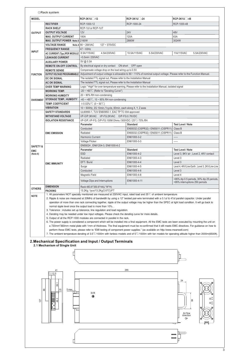| <b>MODEL</b>        |                                                           | RCP-3K1U <sup>-12</sup>                                                                                                                                                                                                                                                                                                                | RCP-3K1U <sup>-24</sup>                                                                                                                                                                                                                                                                                                                                                                                                                                                                                                                                                                                                                                                                                                                                                                                                                                                                                                                 | RCP-3K1U <sup>-48</sup>                                                             |  |  |  |  |  |  |  |
|---------------------|-----------------------------------------------------------|----------------------------------------------------------------------------------------------------------------------------------------------------------------------------------------------------------------------------------------------------------------------------------------------------------------------------------------|-----------------------------------------------------------------------------------------------------------------------------------------------------------------------------------------------------------------------------------------------------------------------------------------------------------------------------------------------------------------------------------------------------------------------------------------------------------------------------------------------------------------------------------------------------------------------------------------------------------------------------------------------------------------------------------------------------------------------------------------------------------------------------------------------------------------------------------------------------------------------------------------------------------------------------------------|-------------------------------------------------------------------------------------|--|--|--|--|--|--|--|
|                     | <b>RECTIFIER</b>                                          | RCP-1000-12                                                                                                                                                                                                                                                                                                                            | RCP-1000-24                                                                                                                                                                                                                                                                                                                                                                                                                                                                                                                                                                                                                                                                                                                                                                                                                                                                                                                             | RCP-1000-48                                                                         |  |  |  |  |  |  |  |
|                     | <b>RACK SHELF</b>                                         | RCP-1UI or RCP-1UT                                                                                                                                                                                                                                                                                                                     |                                                                                                                                                                                                                                                                                                                                                                                                                                                                                                                                                                                                                                                                                                                                                                                                                                                                                                                                         |                                                                                     |  |  |  |  |  |  |  |
| <b>OUTPUT</b>       | <b>OUTPUT VOLTAGE</b>                                     | 12V                                                                                                                                                                                                                                                                                                                                    | <b>24V</b>                                                                                                                                                                                                                                                                                                                                                                                                                                                                                                                                                                                                                                                                                                                                                                                                                                                                                                                              | 48V                                                                                 |  |  |  |  |  |  |  |
|                     | <b>MAX. OUTPUT CURRENT</b>                                | 180A                                                                                                                                                                                                                                                                                                                                   | 120A                                                                                                                                                                                                                                                                                                                                                                                                                                                                                                                                                                                                                                                                                                                                                                                                                                                                                                                                    | 63A                                                                                 |  |  |  |  |  |  |  |
|                     | MAX. OUTPUT POWER Note 5 2160W                            |                                                                                                                                                                                                                                                                                                                                        | 2880W                                                                                                                                                                                                                                                                                                                                                                                                                                                                                                                                                                                                                                                                                                                                                                                                                                                                                                                                   | 3024W                                                                               |  |  |  |  |  |  |  |
|                     | <b>VOLTAGE RANGE</b>                                      | Note.4 $90 \sim 264$ VAC<br>127~370VDC                                                                                                                                                                                                                                                                                                 |                                                                                                                                                                                                                                                                                                                                                                                                                                                                                                                                                                                                                                                                                                                                                                                                                                                                                                                                         |                                                                                     |  |  |  |  |  |  |  |
| <b>INPUT</b>        | <b>FREQUENCY RANGE</b>                                    | $47 - 63$ Hz                                                                                                                                                                                                                                                                                                                           |                                                                                                                                                                                                                                                                                                                                                                                                                                                                                                                                                                                                                                                                                                                                                                                                                                                                                                                                         |                                                                                     |  |  |  |  |  |  |  |
|                     | AC CURRENT (Typ.)PER MODULE                               | 8.5A/115VAC<br>4.5A/230VAC                                                                                                                                                                                                                                                                                                             | 10.5A/115VAC<br>5.5A/230VAC                                                                                                                                                                                                                                                                                                                                                                                                                                                                                                                                                                                                                                                                                                                                                                                                                                                                                                             | 11A/115VAC<br>5.5A/230VAC                                                           |  |  |  |  |  |  |  |
|                     | <b>LEAKAGE CURRENT</b>                                    | <3.5mA/230VAC                                                                                                                                                                                                                                                                                                                          |                                                                                                                                                                                                                                                                                                                                                                                                                                                                                                                                                                                                                                                                                                                                                                                                                                                                                                                                         |                                                                                     |  |  |  |  |  |  |  |
|                     | <b>AUXILIARY POWER</b>                                    | 5V @ 0.3A                                                                                                                                                                                                                                                                                                                              |                                                                                                                                                                                                                                                                                                                                                                                                                                                                                                                                                                                                                                                                                                                                                                                                                                                                                                                                         |                                                                                     |  |  |  |  |  |  |  |
|                     | <b>REMOTE ON-OFF CONTROL</b>                              | By electrical signal or dry contact  ON:short  OFF:open<br>Compensate voltage drop on the load wiring up to 0.5V.                                                                                                                                                                                                                      |                                                                                                                                                                                                                                                                                                                                                                                                                                                                                                                                                                                                                                                                                                                                                                                                                                                                                                                                         |                                                                                     |  |  |  |  |  |  |  |
|                     | <b>REMOTE SENSE</b><br><b>OUTPUT VOLTAGE PROGRAMMABLE</b> |                                                                                                                                                                                                                                                                                                                                        |                                                                                                                                                                                                                                                                                                                                                                                                                                                                                                                                                                                                                                                                                                                                                                                                                                                                                                                                         |                                                                                     |  |  |  |  |  |  |  |
| <b>FUNCTION</b>     | <b>DC OK SIGNAL</b>                                       |                                                                                                                                                                                                                                                                                                                                        | Adjustment of output voltage is allowable to 90 ~ 110% of nominal output voltage. Please refer to the Function Manual.                                                                                                                                                                                                                                                                                                                                                                                                                                                                                                                                                                                                                                                                                                                                                                                                                  |                                                                                     |  |  |  |  |  |  |  |
|                     | <b>AC OK SIGNAL</b>                                       | The isolated TTL signal out, Please refer to the Installation Manual<br>The isolated TTL signal out, Please refer to the Installation Manual<br>Logic "High" for over temperature warning, Please refer to the Installation Manual, isolated signal                                                                                    |                                                                                                                                                                                                                                                                                                                                                                                                                                                                                                                                                                                                                                                                                                                                                                                                                                                                                                                                         |                                                                                     |  |  |  |  |  |  |  |
|                     | <b>OVER TEMP WARNING</b>                                  |                                                                                                                                                                                                                                                                                                                                        |                                                                                                                                                                                                                                                                                                                                                                                                                                                                                                                                                                                                                                                                                                                                                                                                                                                                                                                                         |                                                                                     |  |  |  |  |  |  |  |
|                     | <b>WORKING TEMP.</b>                                      | $-20 \sim +60^{\circ}$ (Refer to "Derating Curve")                                                                                                                                                                                                                                                                                     |                                                                                                                                                                                                                                                                                                                                                                                                                                                                                                                                                                                                                                                                                                                                                                                                                                                                                                                                         |                                                                                     |  |  |  |  |  |  |  |
|                     | <b>WORKING HUMIDITY</b>                                   | 20~90% RH non-condensing                                                                                                                                                                                                                                                                                                               |                                                                                                                                                                                                                                                                                                                                                                                                                                                                                                                                                                                                                                                                                                                                                                                                                                                                                                                                         |                                                                                     |  |  |  |  |  |  |  |
| <b>ENVIRONMENT</b>  | <b>STORAGE TEMP., HUMIDITY</b>                            | $-40 \sim +85^{\circ}$ C, 10 ~ 95% RH non-condensing                                                                                                                                                                                                                                                                                   |                                                                                                                                                                                                                                                                                                                                                                                                                                                                                                                                                                                                                                                                                                                                                                                                                                                                                                                                         |                                                                                     |  |  |  |  |  |  |  |
|                     | <b>TEMP. COEFFICIENT</b>                                  | $\pm$ 0.02%/°C (0 ~ 50°C)                                                                                                                                                                                                                                                                                                              |                                                                                                                                                                                                                                                                                                                                                                                                                                                                                                                                                                                                                                                                                                                                                                                                                                                                                                                                         |                                                                                     |  |  |  |  |  |  |  |
|                     | <b>VIBRATION</b>                                          | 10 ~ 500Hz, 2G 10min./1cycle, 60min. each along X, Y, Z axes                                                                                                                                                                                                                                                                           |                                                                                                                                                                                                                                                                                                                                                                                                                                                                                                                                                                                                                                                                                                                                                                                                                                                                                                                                         |                                                                                     |  |  |  |  |  |  |  |
|                     | <b>SAFETY STANDARDS</b>                                   | UL60950-1, TUV EN60950-1, EAC TP TC 004 approved                                                                                                                                                                                                                                                                                       |                                                                                                                                                                                                                                                                                                                                                                                                                                                                                                                                                                                                                                                                                                                                                                                                                                                                                                                                         |                                                                                     |  |  |  |  |  |  |  |
|                     | <b>WITHSTAND VOLTAGE</b>                                  | I/P-O/P:3KVAC I/P-FG:2KVAC O/P-FG:0.7KVDC                                                                                                                                                                                                                                                                                              |                                                                                                                                                                                                                                                                                                                                                                                                                                                                                                                                                                                                                                                                                                                                                                                                                                                                                                                                         |                                                                                     |  |  |  |  |  |  |  |
|                     | <b>ISOLATION RESISTANCE</b>                               | I/P-O/P, I/P-FG, O/P-FG:100M Ohms / 500VDC / 25°C/ 70% RH                                                                                                                                                                                                                                                                              |                                                                                                                                                                                                                                                                                                                                                                                                                                                                                                                                                                                                                                                                                                                                                                                                                                                                                                                                         |                                                                                     |  |  |  |  |  |  |  |
|                     |                                                           | Parameter                                                                                                                                                                                                                                                                                                                              | <b>Standard</b>                                                                                                                                                                                                                                                                                                                                                                                                                                                                                                                                                                                                                                                                                                                                                                                                                                                                                                                         | <b>Test Level / Note</b>                                                            |  |  |  |  |  |  |  |
|                     |                                                           | Conducted                                                                                                                                                                                                                                                                                                                              | EN55032 (CISPR32) / EN55011 (CISPR11)                                                                                                                                                                                                                                                                                                                                                                                                                                                                                                                                                                                                                                                                                                                                                                                                                                                                                                   | Class B                                                                             |  |  |  |  |  |  |  |
|                     | <b>EMC EMISSION</b>                                       | Radiated                                                                                                                                                                                                                                                                                                                               | EN55032 (CISPR32) / EN55011 (CISPR11)                                                                                                                                                                                                                                                                                                                                                                                                                                                                                                                                                                                                                                                                                                                                                                                                                                                                                                   | Class B                                                                             |  |  |  |  |  |  |  |
|                     |                                                           | Harmonic Current                                                                                                                                                                                                                                                                                                                       | EN61000-3-2                                                                                                                                                                                                                                                                                                                                                                                                                                                                                                                                                                                                                                                                                                                                                                                                                                                                                                                             | -----                                                                               |  |  |  |  |  |  |  |
|                     |                                                           | <b>Voltage Flicker</b>                                                                                                                                                                                                                                                                                                                 | EN61000-3-3                                                                                                                                                                                                                                                                                                                                                                                                                                                                                                                                                                                                                                                                                                                                                                                                                                                                                                                             | -----                                                                               |  |  |  |  |  |  |  |
| <b>SAFETY &amp;</b> |                                                           | EN55024, EN61204-3, EN61000-6-2                                                                                                                                                                                                                                                                                                        |                                                                                                                                                                                                                                                                                                                                                                                                                                                                                                                                                                                                                                                                                                                                                                                                                                                                                                                                         |                                                                                     |  |  |  |  |  |  |  |
| <b>EMC</b>          |                                                           | Parameter                                                                                                                                                                                                                                                                                                                              | <b>Standard</b>                                                                                                                                                                                                                                                                                                                                                                                                                                                                                                                                                                                                                                                                                                                                                                                                                                                                                                                         | <b>Test Level / Note</b>                                                            |  |  |  |  |  |  |  |
| (Note 6)            |                                                           | <b>ESD</b>                                                                                                                                                                                                                                                                                                                             | EN61000-4-2                                                                                                                                                                                                                                                                                                                                                                                                                                                                                                                                                                                                                                                                                                                                                                                                                                                                                                                             | Level 3, 8KV air ; Level 2, 4KV contact                                             |  |  |  |  |  |  |  |
|                     |                                                           | Radiated                                                                                                                                                                                                                                                                                                                               | EN61000-4-3                                                                                                                                                                                                                                                                                                                                                                                                                                                                                                                                                                                                                                                                                                                                                                                                                                                                                                                             | Level 3                                                                             |  |  |  |  |  |  |  |
|                     | <b>EMC IMMUNITY</b>                                       | EFT / Burst                                                                                                                                                                                                                                                                                                                            | EN61000-4-4                                                                                                                                                                                                                                                                                                                                                                                                                                                                                                                                                                                                                                                                                                                                                                                                                                                                                                                             | Level 3                                                                             |  |  |  |  |  |  |  |
|                     |                                                           | Surge                                                                                                                                                                                                                                                                                                                                  | EN61000-4-5                                                                                                                                                                                                                                                                                                                                                                                                                                                                                                                                                                                                                                                                                                                                                                                                                                                                                                                             | Level 4, 4KV/Line-Earth ; Level 3, 2KV/Line-Line                                    |  |  |  |  |  |  |  |
|                     |                                                           | Conducted                                                                                                                                                                                                                                                                                                                              | EN61000-4-6                                                                                                                                                                                                                                                                                                                                                                                                                                                                                                                                                                                                                                                                                                                                                                                                                                                                                                                             | Level 3                                                                             |  |  |  |  |  |  |  |
|                     |                                                           | Magnetic Field                                                                                                                                                                                                                                                                                                                         | EN61000-4-8                                                                                                                                                                                                                                                                                                                                                                                                                                                                                                                                                                                                                                                                                                                                                                                                                                                                                                                             | Level 4                                                                             |  |  |  |  |  |  |  |
|                     |                                                           | Voltage Dips and Interruptions                                                                                                                                                                                                                                                                                                         | EN61000-4-11                                                                                                                                                                                                                                                                                                                                                                                                                                                                                                                                                                                                                                                                                                                                                                                                                                                                                                                            | >95% dip 0.5 periods, 30% dip 25 periods,                                           |  |  |  |  |  |  |  |
|                     |                                                           |                                                                                                                                                                                                                                                                                                                                        |                                                                                                                                                                                                                                                                                                                                                                                                                                                                                                                                                                                                                                                                                                                                                                                                                                                                                                                                         | >95% interruptions 250 periods                                                      |  |  |  |  |  |  |  |
| <b>OTHERS</b>       | <b>DIMENSION</b><br><b>PACKING</b>                        | Rack 483.6*350.8*44(L*W*H)<br>13.2Kg; 1pcs/13.2Kg/2.67CUFT                                                                                                                                                                                                                                                                             |                                                                                                                                                                                                                                                                                                                                                                                                                                                                                                                                                                                                                                                                                                                                                                                                                                                                                                                                         |                                                                                     |  |  |  |  |  |  |  |
| <b>NOTE</b>         |                                                           | normal ripple level once the output load is more than 10%. .<br>3. Tolerance: includes set up tolerance, line regulation and load regulation.<br>4. Derating may be needed under low input voltages. Please check the derating curve for more details.<br>5. Output of all the RCP-1000 modules are connected in parallel in the rack. | 2. Ripple & noise are measured at 20MHz of bandwidth by using a 12" twisted pair-wire terminated with a 0.1uf & 47uf parallel capacitor. Under parallel<br>operation of more than one rack connecting together, ripple of the output voltage may be higher than the SPEC at light load condition. It will go back to<br>6. The power supply is considered a component which will be installed into a final equipment. All the EMC tests are been executed by mounting the unit on<br>a 720mm*360mm metal plate with 1mm of thickness. The final equipment must be re-confirmed that it still meets EMC directives. For guidance on how to<br>perform these EMC tests, please refer to "EMI testing of component power supplies." (as available on http://www.meanwell.com)<br>7. The ambient temperature derating of 3.5°C/1000m with fanless models and of 5°C/1000m with fan models for operating altitude higher than 2000m(6500ft). |                                                                                     |  |  |  |  |  |  |  |
|                     | 2.1 Mechanism of Single Unit                              | 2. Mechanical Specification and Input / Output Terminals                                                                                                                                                                                                                                                                               |                                                                                                                                                                                                                                                                                                                                                                                                                                                                                                                                                                                                                                                                                                                                                                                                                                                                                                                                         |                                                                                     |  |  |  |  |  |  |  |
|                     | 41<br>7.1 12.5                                            |                                                                                                                                                                                                                                                                                                                                        | 295                                                                                                                                                                                                                                                                                                                                                                                                                                                                                                                                                                                                                                                                                                                                                                                                                                                                                                                                     |                                                                                     |  |  |  |  |  |  |  |
| 66<br>127           | 39.<br>5 max.<br>œ.<br>S<br>J٥<br>46<br>$\circ$           | <b>SVR</b><br>0                                                                                                                                                                                                                                                                                                                        |                                                                                                                                                                                                                                                                                                                                                                                                                                                                                                                                                                                                                                                                                                                                                                                                                                                                                                                                         | 24<br>Oğ<br>ਛੇ<br>$\mathbb{O}_{\mathbb{R}}^{\preceq}$<br>Air flow<br>direction<br>⇦ |  |  |  |  |  |  |  |
|                     |                                                           |                                                                                                                                                                                                                                                                                                                                        |                                                                                                                                                                                                                                                                                                                                                                                                                                                                                                                                                                                                                                                                                                                                                                                                                                                                                                                                         | $\overline{\phantom{a}}$                                                            |  |  |  |  |  |  |  |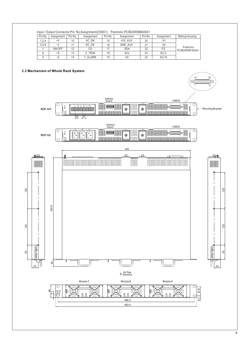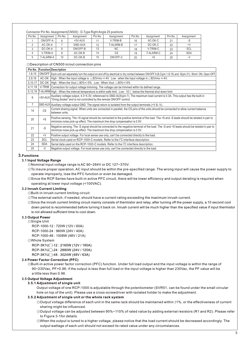Connector Pin No. Assignment(CN500) : D-Type Right Angle 25 positions

| Pin No. | Assignment | Pin No. | Assignment | Pin No. | Assignment | Pin No. | Assignment | Pin No. | Assignment |
|---------|------------|---------|------------|---------|------------|---------|------------|---------|------------|
|         | ON/OFF-A   | 6       | $+5V-AUX$  |         | V-TRIM-B   | 16      | AC-OK-C    | 21      | -S         |
|         | AC-OK-A    |         | GND-AUX    | 12      | T-ALARM-B  |         | DC-OK-C    | 22      | $+V$       |
|         | DC-OK-A    |         | ON/OFF-B   | 13      | <b>NC</b>  | 18      | V-TRIM-C   | 23      | SCL        |
|         | V-TRIM-A   |         | AC-OK-B    | 14      | CS         | 19      | T-ALARM-C  | 24      | <b>SDA</b> |
|         | T-ALARM-A  | 10      | DC-OK-B    | 15      | ON/OFF-C   | 20      | +S         | 25      | -V         |

◎Description of CN500 in/out connection pins

**Pin No. Function Description**

| 1,8,15    |            | ON/OFF   Each unit can separately turn the output on and off by electrical or dry contact between ON/OFF A,B,C(pin 1,8,15) and -S(pin 21). Short: ON, Open:OFF.                                                          |
|-----------|------------|--------------------------------------------------------------------------------------------------------------------------------------------------------------------------------------------------------------------------|
| 2,9,16    |            | AC-OK High: When the input voltage is $\geq$ 82Vrms +/-4V. Low: when the input voltage in $\leq$ 82Vrms +/-4V.                                                                                                           |
| 3,10,17   |            | DC-OK High: When the Vout $\geq$ 80%+/-5%. Low: When Vout $\leq$ 80%+/-5%                                                                                                                                                |
| 4, 11, 18 |            | V-TRIM Connection for output voltage trimming. The voltage can be trimmed within its defined range.                                                                                                                      |
| 5,12,19   |            | T-ALARM High : When the internal temperature is within safe limit. Low : 10°C below the thermal shut down limit.                                                                                                         |
| 6         | +5V-AUX    | Auxiliary voltage output, 4.3~5.3V, referenced to GND-AUX(pin 7). The maximum load current is 0.3A. This output has the built-in "Oring diodes" and is not controlled by the remote ON/OFF control.                      |
|           |            | $ GND-AUX $ Auxiliary voltage output GND. The signal return is isolated from the output terminals $(+V & -V)$ .                                                                                                          |
| 14        | CS         | Current sharing signal. When units are connected in parallel, the CS pins of the units should be connected to allow current balance<br>between units.                                                                    |
| 20        | $+S$       | Positive sensing. The +S signal should be connected to the positive terminal of the load. The +S and -S leads should be twisted in pair to<br>minimize noise pick-up effect. The maximum line drop compensation is 0.5V. |
| 21        | $-S$       | Negative sensing. The -S signal should be connected to the negative terminal of the load. The -S and +S leads should be twisted in pair to<br>minimize noise pick-up effect. The maximum line drop compensation is 0.5V. |
| 22        | $+V$       | Positive output voltage. For local sense use only, can't be connected directly to the load.                                                                                                                              |
| 23        | <b>SCL</b> | Serial clock used on RCP-1000-C models. Refer to the I <sup>2</sup> C interface description.                                                                                                                             |
| 24        | <b>SDA</b> | Serial data used on the RCP-1000-C models. Refer to the I <sup>2</sup> C interface description.                                                                                                                          |
| 25        | $-V$       | Negative output voltage. For local sense use only, can't be connected directly to the load.                                                                                                                              |
|           |            |                                                                                                                                                                                                                          |

#### **3.Functions**

#### **3.1 Input Voltage Range**

◎Nominal input voltage range is AC 90~264V or DC 127~370V.

- ◎To insure proper operation, AC input should be within the pre-specified range. The wrong input will cause the power supply to operate improperly, lose the PFC function or even be damaged.
- operating at lower input voltage (<100VAC). ◎Since the RCP Series have built-in active PFC circuit, there will be lower efficiency and output derating is required when

# **3.2 Inrush Current Limiting**

◎Built-in inrush current limiting circuit.

- ◎The external switch, if needed, should have a current rating exceeding the maximum inrush current.
- ◎Since the inrush current limiting circuit mainly consists of thermistor and relay, after turning off the power supply, a 10 second cool down period is recommended before turning it back on. Inrush current will be much higher than the specified value if input thermistor is not allowed sufficient time to cool down.

# **3.3 Output Power**

◎Single Unit

RCP-1000-12 : 720W (12V / 60A)

RCP-1000-24 : 960W (24V / 40A)

RCP-1000-48 : 1008W (48V / 21A)

# ◎Whole System

RCP-3K1U<sup>-12</sup> : 2160W (12V / 180A) RCP-3K1U<sup>-24</sup> : 2880W (24V / 120A) RCP-3K1U<sup>-48</sup> : 3024W (48V / 63A)

# **3.4 Power Factor Correction (PFC)**

◎Built-in active power factor correction (PFC) function. Under full load output and the input voltage is within the range of 90~230Vac, PF>0.96; if the output is less than full load or the input voltage is higher than 230Vac, the PF value will be a little less than 0.96.

# **3.5 Output Voltage Adjustment**

#### **3.5.1 Adjustment of single unit**

Output voltage of one RCP-1000 is adjustable through the potentiometer (SVR51, can be found under the small circular hole on top of the unit). Please use a cross-screwdriver with isolated holder to make the adjustment.

# **3.5.2 Adjustment of single unit or the whole rack system**

©Output voltage difference of each unit in the same rack should be maintained within ±1%, or the effectiveness of current sharing might be influenced.

- ◎Output voltage can be adjusted between 90%~110% of rated value by adding external resistors (R1 and R2). Please refer to Figure 3-1for details.
- ◎When the output is tuned to a higher voltage, please notice that the load current should be decreased accordingly. The output wattage of each unit should not exceed its rated value under any circumstances.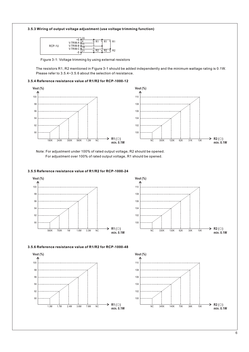# **3.5.3 Wiring of output voltage adjustment (use voltage trimming function)**



Figure 3-1: Voltage trimming by using external resistors

The resistors R1, R2 mentioned in Figure 3-1 should be added independently and the minimum wattage rating is 0.1W. Please refer to 3.5.4~3.5.6 about the selection of resistance.

# **3.5.4 Reference resistance value of R1/R2 for RCP-1000-12**



Note: For adjustment under 100% of rated output voltage, R2 should be opened. For adjustment over 100% of rated output voltage, R1 should be opened.

# **3.5.5 Reference resistance value of R1/R2 for RCP-1000-24**



# **3.5.6 Reference resistance value of R1/R2 for RCP-1000-48**



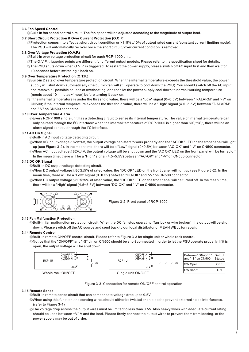# **3.6 Fan Speed Control**

◎Built-in fan speed control circuit. The fan speed will be adjusted according to the magnitude of output load.

# **3.7 Short Circuit Protection & Over Current Protection (O.C.P.)**

©Protection comes into effect at short circuit condition or >115% ±10% of output rated current (constant current limiting mode). The PSU will automatically recover once the short circuit / over current condition is removed.

# **3.8 Over Voltage Protection (O.V.P.)**

◎Built-in over voltage protection circuit for each RCP-1000 unit.

- ◎The O.V.P. triggering points are different for different output models. Please refer to the specification sheet for details.
- ◎The PSU shuts down when O.V.P. is triggered. To restart the power supply, please switch off AC input first and then wait for 10 seconds before switching it back on.

# **3.9 Over Temperature Protection (O.T.P.)**

- ◎Built-in 2 sets of over temperature protection circuit. When the internal temperature exceeds the threshold value, the power supply will shut down automatically (the built-in fan will still operate to cool down the PSU). You should switch off the AC input and remove all possible causes of overheating, and then let the power supply cool down to normal working temperature (needs about 10 minutes~1hour) before turning it back on.
- $\odot$ If the internal temperature is under the threshold value, there will be a "Low" signal (0~0.5V) between "T-ALARM" and "-V" on CN500; if the internal temperature exceeds the threshold value, there will be a "High" signal (4.5~5.5V) between "T-ALARM" and "-V" on CN500 connector.

# **3.10 Over Temperature Alarm**

◎Every RCP-1000 single unit has a detecting circuit to sense its internal temperature. The value of internal temperature can only be read through the I<sup>2</sup>C interface: when the internal temperature of RCP-1000 is higher than 60℃±3℃, there will be an alarm signal sent out through the  $I^2C$  interface.

# **3.11 AC OK Signal**

- ◎Built-in AC input voltage detecting circuit.
- ©When AC input voltage≧82V±4V, the output voltage can start to work properly and the "AC OK" LED on the front panel will light ©When AC input voltage ≤82V±4V, the output voltage will be shut down and the "AC OK" LED on the front panel will be turned off. up (see Figure 3-2). In the mean time, there will be a "Low" signal (0~0.5V) between "AC-OK" and "-V" on CN500 connector.
	- In the mean time, there will be a "High" signal (4.5~5.5V) between "AC-OK" and "-V" on CN500 connector.

# **3.12 DC OK Signal**

- ◎Built-in DC output voltage detecting circuit.
- ©When DC output voltage≧80%±5% of rated value, the "DC OK" LED on the front panel will light up (see Figure 3-2). In the mean time, there will be a "Low" signal (0~0.5V) between "DC-OK" and "-V" on CN500 connector.
- there will be a "High" signal (4.5~5.5V) between "DC-OK" and "-V" on CN500 connector. ◎ ≦± When DC output voltage 80% 5% of rated value, the "DC OK" LED on the front panel will be turned off. In the mean time,



Figure 3-2: Front panel of RCP-1000

# **3.13 Fan Malfunction Protection**

◎Built-in fan malfunction protection circuit. When the DC fan stop operating (fan lock or wire broken), the output will be shut down. Please switch off the AC source and send back to our local distributor or MEAN WELL for repair.

# **3.14 Remote Control**

◎Built-in remote ON/OFF control circuit. Please refer to Figure 3-3 for single unit or whole rack control.

◎Notice that the "ON/OFF" and "-S" pin on CN500 should be short connected in order to let the PSU operate properly. If it is open, the output voltage will be shut down.



Figure 3-3: Connection for remote ON/OFF control operation

# **3.15 Remote Sense**

◎Built-in remote sense circuit that can compensate voltage drop up to 0.5V.

- ◎When using this function, the sensing wires should either be twisted or shielded to prevent external noise interference. (refer to Figure 3-4)
- ◎The voltage drop across the output wires must be limited to less than 0.5V. Also heavy wires with adequate current rating should be used between +V/-V and the load. Please firmly connect the output wires to prevent them from loosing, or the power supply may be out of order.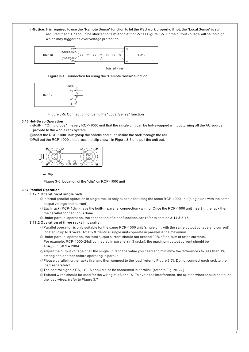◎**Notice:** It is required to use the "Remote Sense" function to let the PSU work properly. If not, the "Local Sense" is still required that "+S" should be shorted to "+V" and "-S" to "-V" as Figure 3-5. Or the output voltage will be too high which may trigger the over voltage protection.



Figure 3-4: Connection for using the "Remote Sense" function



Figure 3-5: Connection for using the "Local Sense" function

# **3.16 Hot-Swap Operation**

◎Built-in "Oring diode" in every RCP-1000 unit that the single unit can be hot-swapped without turning off the AC source provide to the whole rack system.

◎Insert the RCP-1000 unit: grasp the handle and push inside the rack through the rail.

◎Pull out the RCP-1000 unit: press the clip shown in Figure 3-6 and pull the unit out.



Clip

Figure 3-6: Location of the "clip" on RCP-1000 unit

# **3.17 Parallel Operation**

# **3.17.1 Operation of single rack**

- ◎Internal parallel operation in single rack is only suitable for using the same RCP-1000 unit (single unit with the same output voltage and current).
- $\circledcirc$  Each rack (RCP-1U<sub>n</sub>) have the built-in parallel connection / wiring. Once the RCP-1000 unit insert in the rack then the parallel connection is done.
- ◎Under parallel operation, the connection of other functions can refer to section 3.14 & 3.15.

# **3.17.2 Operation of three racks in parallel**

- located in up to 3 racks. Totally 8 identical single units operate in parallel is the maximum. ◎Parallel operation is only suitable for the same RCP-1000 unit (single unit with the same output voltage and current)
- ◎Under parallel operation, the total output current should not exceed 90% of the sum of rated currents.
	- For example: RCP-1000-24x8 connected in parallel (in 3 racks), the maximum output current should be  $40A \times 8$  unit $\times 0.9 = 288A$
- among one another before operating in parallel. ◎Adjust the output voltage of all the single units to the value you need and minimize the differences to less than 1%
- load separately! ◎Please paralleling the racks first and then connect to the load (refer to Figure 3.7). Do not connect each rack to the
- ◎The control signals CS, +S, -S should also be connected in parallel. (refer to Figure 3.7)
- the load wires. (refer to Figure 3.7) ◎Twisted wires should be used for the wiring of +S and -S. To avoid the interference, the twisted wires should not touch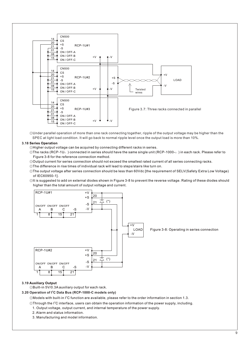

SPEC at light load condition. It will go back to normal ripple level once the output load is more than 10%. ◎Under parallel operation of more than one rack connecting together, ripple of the output voltage may be higher than the

# **3.18 Series Operation**

◎Higher output voltage can be acquired by connecting different racks in series.

© The racks (RCP-1U<sub>n</sub>) connected in series should have the same single unit (RCP-1000-<sub>0</sub>) in each rack. Please refer to Figure 3-8 for the reference connection method.

◎Output current for series connection should not exceed the smallest rated current of all series connecting racks.

◎The difference in rise times of individual rack will lead to steps/stairs like turn on.

- ◎The output voltage after series connection should be less than 60Vdc [the requirement of SELV(Safety Extra Low Voltage) of IEC60950-1].
- higher than the total amount of output voltage and current. ◎It is suggested to add on external diodes shown in Figure 3-8 to prevent the reverse voltage. Rating of these diodes should



# **3.19 Auxiliary Output**

◎Built-in 5V/0.3A auxiliary output for each rack.

# **3.20 Operation of I<sup>2</sup>C Data Bus (RCP-1000-C models only)**

 $\odot$ Models with built-in I<sup>2</sup>C function are available, please refer to the order information in section 1.3.

- $\circledcirc$ Through the I<sup>2</sup>C interface, users can obtain the operation information of the power supply, including.
- 1. Output voltage, output current, and internal temperature of the power supply.
- 2. Alarm and status information.
- 3. Manufacturing and model information.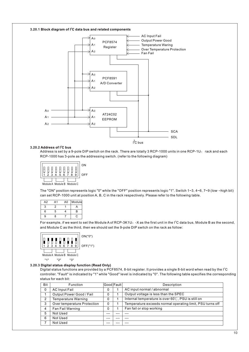

#### **3.20.2 Address of I<sup>2</sup>C bus**

Address is set by a 9-pole DIP switch on the rack. There are totally 3 RCP-1000 units in one RCP-1U<sub>□</sub> rack and each RCP-1000 has 3-pole as the addressing switch. (refer to the following diagram)



The "ON" position represents logic "0" while the "OFF" position represents logic "1". Switch 1~3, 4~6, 7~9 (low->high bit) can set RCP-1000 unit at position A, B, C in the rack respectively. Please refer to the following table.

| A2 | Α1 | Module |    |
|----|----|--------|----|
| 3  | 2  |        |    |
| 6  | 5  |        | R  |
| 9  | ጸ  |        | r. |

For example, if we want to set the Module A of RCP-3K1U $_0$  -X as the first unit in the I<sup>2</sup>C data bus, Module B as the second, and Module C as the third, then we should set the 9-pole DIP switch on the rack as follow:



#### **3.20.3 Digital status display function (Read Only)**

Digital status functions are provided by a PCF8574, 8-bit register. It provides a single 8-bit word when read by the I<sup>2</sup>C controller. "Fault" is indicated by "1" while "Good" level is indicated by "0". The following table specifies the corresponding status for each bit:

| Bit         | <b>Function</b>             |   | Good Fault | Description                                                  |
|-------------|-----------------------------|---|------------|--------------------------------------------------------------|
| $\mathbf 0$ | <b>AC Input Fail</b>        | 0 |            | AC input normal / abnormal                                   |
|             | Output Power Good / Fail    | 0 |            | Output voltage is less than the SPEC                         |
| 2           | Temperature Warning         | 0 |            | Internal temperature is over $60^{\circ}$ C, PSU is still on |
| 3           | Over temperature Protection | 0 |            | Temperature exceeds normal operating limit, PSU turns off    |
| 4           | Fan Fail Warning            | 0 |            | Fan fail or stop working                                     |
| 5           | Not Used                    |   |            |                                                              |
| 6           | Not Used                    |   |            |                                                              |
|             | Not Used                    |   |            |                                                              |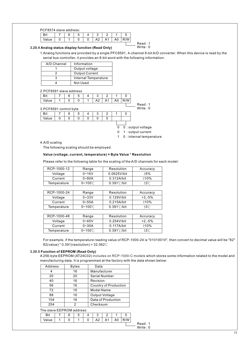PCF8574 slave address:

|      |  | u |            |  |  |
|------|--|---|------------|--|--|
| alut |  |   | $\sqrt{2}$ |  |  |

# **3.20.4 Analog status display function (Read Only)**

1.Analog functions are provided by a single PFC8591, 4-channel 8-bit A/D converter. When this device is read by the serial bus controller, it provides an 8-bit word with the following information:

Read : 1 Write : 0

| A/D Channel | Information                 |
|-------------|-----------------------------|
|             | Output voltage              |
|             | <b>Output Current</b>       |
|             | <b>Internal Temperature</b> |
|             | Not Used                    |

2.PCF8591 slave address

|                        | Bit   |   | 6 | 5 | 4 | 3              | 2              |                | O   |                     |  |
|------------------------|-------|---|---|---|---|----------------|----------------|----------------|-----|---------------------|--|
|                        | Value |   | 0 | 0 |   | A <sub>2</sub> | A <sub>1</sub> | A <sub>0</sub> | R/W |                     |  |
|                        |       |   |   |   |   |                |                |                |     | Read: 1             |  |
| 3.PCF8591 control byte |       |   |   |   |   |                |                |                |     | Write $: 0$         |  |
|                        | Bit   |   | 6 | 5 | 4 | 3              | 2              |                | 0   |                     |  |
|                        | Value | 0 | 0 | 0 | 0 | 0              | 0              |                |     |                     |  |
|                        |       |   |   |   |   |                |                |                |     |                     |  |
|                        |       |   |   |   |   |                |                | 0              |     | $0:$ output voltage |  |
|                        |       |   |   |   |   |                |                | 0              |     | 1: output current   |  |
|                        |       |   |   |   |   |                |                |                |     |                     |  |

1 0 : internal temperature

#### 4.A/D scaling

The following scaling should be employed:

# **Value (voltage, current, temperature) = Byte Value \* Resolution**

Please refer to the following table for the scaling of the A/D channels for each model:

| RCP-1000-12 | Range               | Resolution            | Accuracy       |
|-------------|---------------------|-----------------------|----------------|
| Voltage     | $0 - 16V$           | $0.0625$ V/bit        | ±5%            |
| Current     | $0 - 80A$           | $0.312A/b$ it         | ±10%           |
| Temperature | $0 - 100^{\circ}$ C | $0.391^{\circ}$ C/bit | $±3^{\circ}$ C |

| RCP-1000-24 | Range               | Resolution     | Accuracy       |
|-------------|---------------------|----------------|----------------|
| Voltage     | $0 - 33V$           | $0.129V/b$ it  | $+3.-5%$       |
| Current     | $0 - 55A$           | $0.215A/b$ it  | $±10\%$        |
| Temperature | $0 - 100^{\circ}$ C | $0.391$ °C/bit | $±3^{\circ}$ C |

| RCP-1000-48 | Range               | Resolution     | Accuracy       |
|-------------|---------------------|----------------|----------------|
| Voltage     | $0 - 65V$           | $0.254$ V/bit  | $+2. -5%$      |
| Current     | $0 - 30A$           | $0.117A/b$ it  | ±10%           |
| Temperature | $0 - 100^{\circ}$ C | $0.391$ °C/bit | $±3^{\circ}$ C |

For example, if the temperature reading value of RCP-1000-24 is "01010010", then convert to decimal value will be "82" 82(value) \* 0.391(resolution) = 32.062℃

# **3.20.5 Function of EEPROM (Read Only)**

A 256-byte EEPROM (AT24C02) includes on RCP-1000-C models which stores some information related to the model and manufacturing data. It is programmed at the factory with the data shown below:

| Address | Bytes | Data                         |  |
|---------|-------|------------------------------|--|
|         | 16    | Manufacturer                 |  |
| 20      | 20    | <b>Serial Number</b>         |  |
| 40      | 16    | Revision                     |  |
| 56      | 16    | <b>Country of Production</b> |  |
| 72      | 16    | Model Name                   |  |
| 88      | 16    | Output Voltage               |  |
| 104     | 16    | Data of Production           |  |
| 254     | 2     | Checksum                     |  |

# The slave EEPROM address:

|     | b | s. |        |    |    |  |
|-----|---|----|--------|----|----|--|
| lue | ◡ |    | $\sim$ | Δ1 | AU |  |

Read : 1 Write : 0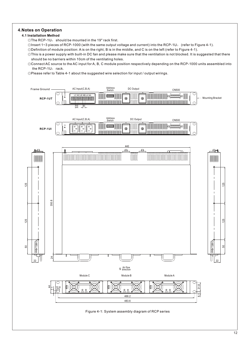# **4.Notes on Operation**

# **4.1 Installation Method**

- $\circ$ The RCP-1U $\circ$  should be mounted in the 19" rack first.
- ©Insert 1~3 pieces of RCP-1000 (with the same output voltage and current) into the RCP-1U<sub>n</sub> (refer to Figure 4-1).
- ◎Definition of module position: A is on the right, B is in the middle, and C is on the left (refer to Figure 4-1).
- ◎This is a power supply with built-in DC fan and please make sure that the ventilation is not blocked. It is suggested that there should be no barriers within 10cm of the ventilating holes.
- ◎Connect AC source to the AC input for A, B, C module position respectively depending on the RCP-1000 units assembled into the RCP-1 $U_{\scriptscriptstyle\Box}$  rack.
- ◎Please refer to Table 4-1 about the suggested wire selection for input / output wirings.